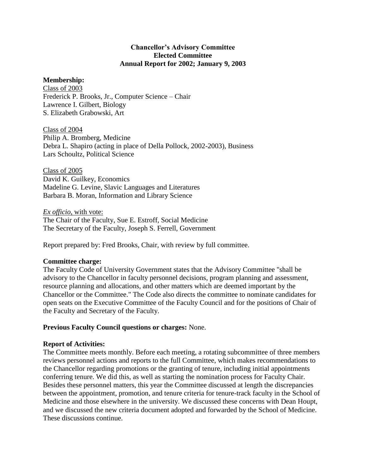## **Chancellor's Advisory Committee Elected Committee Annual Report for 2002; January 9, 2003**

# **Membership:**

Class of 2003 Frederick P. Brooks, Jr., Computer Science – Chair Lawrence I. Gilbert, Biology S. Elizabeth Grabowski, Art

Class of 2004 Philip A. Bromberg, Medicine Debra L. Shapiro (acting in place of Della Pollock, 2002-2003), Business Lars Schoultz, Political Science

Class of 2005 David K. Guilkey, Economics Madeline G. Levine, Slavic Languages and Literatures Barbara B. Moran, Information and Library Science

*Ex officio,* with vote: The Chair of the Faculty, Sue E. Estroff, Social Medicine The Secretary of the Faculty, Joseph S. Ferrell, Government

Report prepared by: Fred Brooks, Chair, with review by full committee.

## **Committee charge:**

The Faculty Code of University Government states that the Advisory Committee "shall be advisory to the Chancellor in faculty personnel decisions, program planning and assessment, resource planning and allocations, and other matters which are deemed important by the Chancellor or the Committee." The Code also directs the committee to nominate candidates for open seats on the Executive Committee of the Faculty Council and for the positions of Chair of the Faculty and Secretary of the Faculty.

## **Previous Faculty Council questions or charges:** None.

## **Report of Activities:**

The Committee meets monthly. Before each meeting, a rotating subcommittee of three members reviews personnel actions and reports to the full Committee, which makes recommendations to the Chancellor regarding promotions or the granting of tenure, including initial appointments conferring tenure. We did this, as well as starting the nomination process for Faculty Chair. Besides these personnel matters, this year the Committee discussed at length the discrepancies between the appointment, promotion, and tenure criteria for tenure-track faculty in the School of Medicine and those elsewhere in the university. We discussed these concerns with Dean Houpt, and we discussed the new criteria document adopted and forwarded by the School of Medicine. These discussions continue.